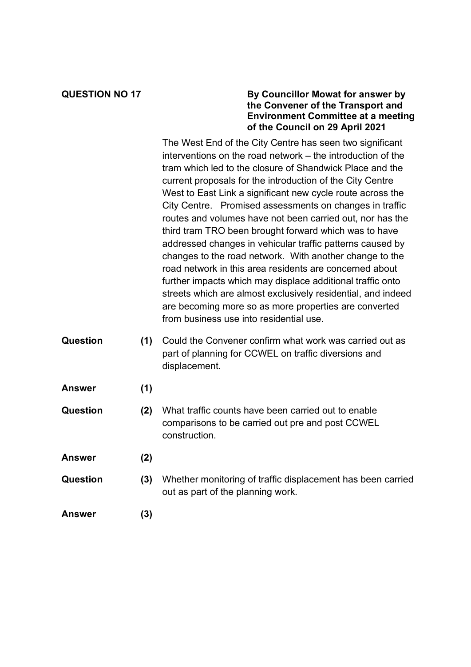## **QUESTION NO 17 By Councillor Mowat for answer by the Convener of the Transport and Environment Committee at a meeting of the Council on 29 April 2021**

The West End of the City Centre has seen two significant interventions on the road network – the introduction of the tram which led to the closure of Shandwick Place and the current proposals for the introduction of the City Centre West to East Link a significant new cycle route across the City Centre. Promised assessments on changes in traffic routes and volumes have not been carried out, nor has the third tram TRO been brought forward which was to have addressed changes in vehicular traffic patterns caused by changes to the road network. With another change to the road network in this area residents are concerned about further impacts which may displace additional traffic onto streets which are almost exclusively residential, and indeed are becoming more so as more properties are converted from business use into residential use.

- **Question (1)** Could the Convener confirm what work was carried out as part of planning for CCWEL on traffic diversions and displacement.
- **Answer (1)**
- **Question (2)** What traffic counts have been carried out to enable comparisons to be carried out pre and post CCWEL construction.
- **Answer (2)**
- **Question (3)** Whether monitoring of traffic displacement has been carried out as part of the planning work.
- **Answer (3)**